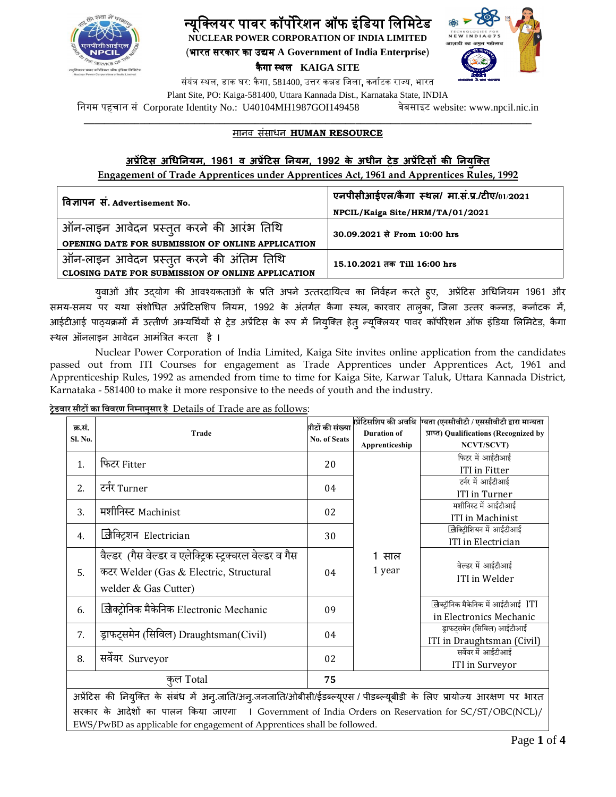

## न्यूक्लियर पावर कॉर्पोरेशन ऑफ इंडिया लिमिटेड **NUCLEAR POWER CORPORATION OF INDIA LIMITED**

(भारत सरकार का उ᳒म भारत का उ᳒म **A Government of India Enterprise**) कै गा ᭭थल कै **KAIGA SITE** 

संयंत्र स्थल, डाक घर: कैगा, 581400, उत्तर कन्नड जिला, कर्नाटक राज्य, भारत

Plant Site, PO: Kaiga-581400, Uttara Kannada Dist., Karnataka State, INDIA

िनगम पहचान सं Corporate Identity No.: U40104MH1987GOI149458 वेबसाइट website: www.npcil.nic.in

#### **\_\_\_\_\_\_\_\_\_\_\_\_\_\_\_\_\_\_\_\_\_\_\_\_\_\_\_\_\_\_\_\_\_\_\_\_\_\_\_\_\_\_\_\_\_\_\_\_\_\_\_\_\_\_\_\_\_\_\_\_\_\_\_\_\_\_\_\_\_\_\_\_\_\_\_\_\_\_\_\_\_\_\_\_\_\_\_\_\_**  मानव संसाधन **HUMAN RESOURCE**

# <u> $\frac{1}{2}$  **अधिनियम, 1961 व अप्रेटिस नियम, 1992 के अधीन ट्रेड अप्रेटिसो की नियुक्ति </u></u>**

**Engagement of Trade Apprentices under Apprentices Act, 1961 and Apprentices Rules, 1992**

| विज्ञापन सं. Advertisement No.                                                                 | एनपीसीआईएल/कैगा स्थल/ मा.सं.प्र./टीए/01/2021<br>NPCIL/Kaiga Site/HRM/TA/01/2021 |
|------------------------------------------------------------------------------------------------|---------------------------------------------------------------------------------|
| ऑन-लाइन आवेदन प्रस्तुत करने की आरंभ तिथि<br>OPENING DATE FOR SUBMISSION OF ONLINE APPLICATION  | 30.09.2021 से From 10:00 hrs                                                    |
| ऑन-लाइन आवेदन प्रस्तुत करने की अंतिम तिथि<br>CLOSING DATE FOR SUBMISSION OF ONLINE APPLICATION | 15.10.2021 तक Till 16:00 hrs                                                    |

युवाओं और उद्योग की आवश्यकताओं के प्रति अपने उत्तरदायित्व का निर्वहन करते हुए, अप्रेंटिस अधिनियम 1961 और समय-समय पर यथा संशोधित अप्रेंटिसशिप नियम, 1992 के अंतर्गत कैगा स्थल, कारवार तालुका, जिला उत्तर कन्नड़, कर्नाटक में, आईटीआई पाठ्यक्रमों में उत्तीर्ण अभ्यर्थियों से ट्रेड अप्रेंटिस के रूप में नियुक्ति हेतु न्यूक्लियर पावर कॉर्पोरेशन ऑफ इंडिया लिमिटेड, कैगा स्थल ऑनलाइन आवेदन आमंत्रित करता है ।

Nuclear Power Corporation of India Limited, Kaiga Site invites online application from the candidates passed out from ITI Courses for engagement as Trade Apprentices under Apprentices Act, 1961 and Apprenticeship Rules, 1992 as amended from time to time for Kaiga Site, Karwar Taluk, Uttara Kannada District, Karnataka - 581400 to make it more responsive to the needs of youth and the industry.

**ेडवार सीट का िववरण िन नानुसार है** Details of Trade are as follows:

| क्र.सं.                                                                                                                 |                                                          | पीटों की संख्या     | ग्प्रेंटिसशिप की अवधि | ग्यता (एनसीवीटी / एससीवीटी द्वारा मान्यता |  |
|-------------------------------------------------------------------------------------------------------------------------|----------------------------------------------------------|---------------------|-----------------------|-------------------------------------------|--|
| <b>Sl. No.</b>                                                                                                          | Trade                                                    |                     | <b>Duration of</b>    | प्राप्त) Qualifications (Recognized by    |  |
|                                                                                                                         |                                                          | <b>No. of Seats</b> | Apprenticeship        | <b>NCVT/SCVT)</b>                         |  |
| 1.                                                                                                                      | फिटर Fitter                                              | 20                  |                       | फिटर में आईटीआई                           |  |
|                                                                                                                         |                                                          |                     |                       | <b>ITI</b> in Fitter                      |  |
| 2.                                                                                                                      | टर्नर Turner                                             | 04                  |                       | टर्नर में आईटीआई                          |  |
|                                                                                                                         |                                                          |                     |                       | ITI in Turner                             |  |
| 3.                                                                                                                      | मशीनिस्ट Machinist                                       | 02                  |                       | मशीनिस्ट में आईटीआई                       |  |
|                                                                                                                         |                                                          |                     |                       | ITI in Machinist                          |  |
| 4.                                                                                                                      | जिक्ट्रिशन Electrician                                   | 30                  |                       | जिक्ट्रिशियन में आईटीआई                   |  |
|                                                                                                                         |                                                          |                     |                       | ITI in Electrician                        |  |
|                                                                                                                         | वैल्डर) (गैस वेल्डर व एलेक्ट्रिक स्ट्रक्चरल वेल्डर व गैस |                     | 1 साल                 |                                           |  |
| 5.                                                                                                                      | कटर Welder (Gas & Electric, Structural                   | 04                  | 1 year                | वेल्डर में आईटीआई                         |  |
|                                                                                                                         |                                                          |                     |                       | ITI in Welder                             |  |
|                                                                                                                         | welder & Gas Cutter)                                     |                     |                       |                                           |  |
| 6.                                                                                                                      | लिक्ट्रोनिक मैकेनिक Electronic Mechanic                  | 09                  |                       | लिक्ट्रॉनिक मैकेनिक में आईटीआई ITI        |  |
|                                                                                                                         |                                                          |                     |                       | in Electronics Mechanic                   |  |
| 7.                                                                                                                      | ड्राफट्समेन (सिविल) Draughtsman(Civil)                   | 04                  |                       | ड्राफट्समेन (सिविल) आईटीआई                |  |
|                                                                                                                         |                                                          |                     |                       | ITI in Draughtsman (Civil)                |  |
| 8.                                                                                                                      | सर्वेयर Surveyor                                         | 02                  |                       | सर्वेयर में आईटीआई                        |  |
|                                                                                                                         |                                                          |                     |                       | ITI in Surveyor                           |  |
| कुल Total                                                                                                               |                                                          | 75                  |                       |                                           |  |
| अप्रेंटिस की नियुक्ति के संबंध में अन्.जाति/अन्.जनजाति/ओबीसी/ईडब्ल्यूएस / पीडब्ल्यूबीडी के लिए प्रायोज्य आरक्षण पर भारत |                                                          |                     |                       |                                           |  |
| सरकार के आदेशों का पालन किया जाएगा   Government of India Orders on Reservation for SC/ST/OBC(NCL)/                      |                                                          |                     |                       |                                           |  |
| EWS/PwBD as applicable for engagement of Apprentices shall be followed.                                                 |                                                          |                     |                       |                                           |  |
|                                                                                                                         |                                                          |                     |                       |                                           |  |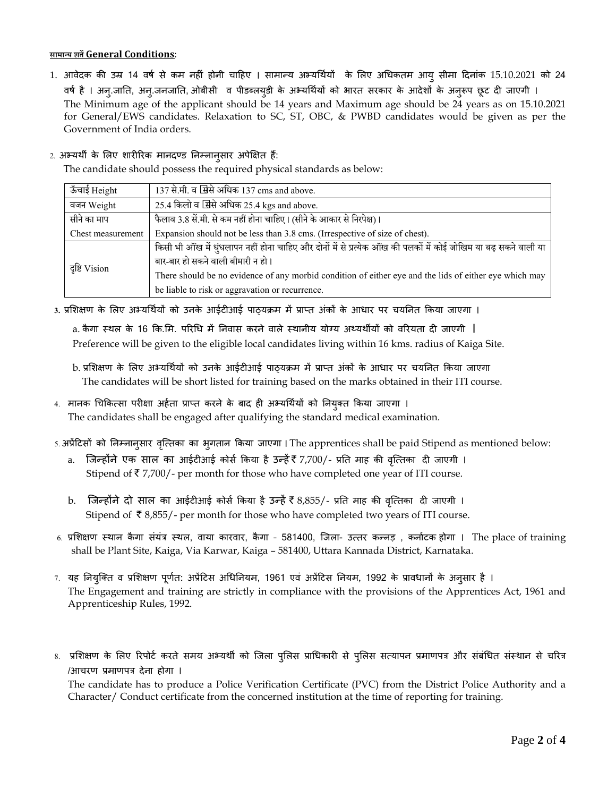### **सामा< य शतG General Conditions**:

1. आवेदक की उम्र 14 वर्ष से कम नहीं होनी चाहिए । सामान्य अभ्यर्थियों के लिए अधिकतम आयु सीमा दिनांक 15.10.2021 को 24 वर्ष है । अन्.जाति, अन्.जनजाति, ओबीसी व पीडब्लयुडी के अभ्यर्थियों को भारत सरकार के आदेशों के अनुरूप छूट दी जाएगी । The Minimum age of the applicant should be 14 years and Maximum age should be 24 years as on 15.10.2021 for General/EWS candidates. Relaxation to SC, ST, OBC, & PWBD candidates would be given as per the Government of India orders.

### 2. अभ्यर्थी के लिए शारीरिक मानदण्ड निम्नानुसार अपेक्षित हैं:

The candidate should possess the required physical standards as below:

| ऊँचाई Height      | 137 से.मी. व सिसे अधिक 137 cms and above.                                                                      |  |  |
|-------------------|----------------------------------------------------------------------------------------------------------------|--|--|
| वजन Weight        | 25.4 किलो व सिसे अधिक 25.4 kgs and above.                                                                      |  |  |
| सीने का माप       | फैलाव 3.8 सें.मी. से कम नहीं होना चाहिए। (सीने के आकार से निरपेक्ष)।                                           |  |  |
| Chest measurement | Expansion should not be less than 3.8 cms. (Irrespective of size of chest).                                    |  |  |
|                   | किसी भी ऑख में धुंधलापन नहीं होना चाहिए और दोनों में से प्रत्येक ऑख की पलकों में कोई जोखिम या बढ़ सकने वाली या |  |  |
| दृष्टि Vision     | बार-बार हो सकने वाली बीमारी न हो।                                                                              |  |  |
|                   | There should be no evidence of any morbid condition of either eye and the lids of either eye which may         |  |  |
|                   | be liable to risk or aggravation or recurrence.                                                                |  |  |

3. प्रशिक्षण के लिए अभ्यर्थियों को उनके आईटीआई पाठ्यक्रम में प्राप्त अंकों के आधार पर चयनित किया जाएगा ।

a. कैगा स्थल के 16 कि.मि. परिधि में निवास करने वाले स्थानीय योग्य अथ्यर्थीयों को वरियता दी जाएगी | Preference will be given to the eligible local candidates living within 16 kms. radius of Kaiga Site.

- b. प्रशिक्षण के लिए अभ्यर्थियों को उनके आईटीआई पाठ्यक्रम में प्राप्त अंकों के आधार पर चयनित किया जाएगा The candidates will be short listed for training based on the marks obtained in their ITI course.
- 4. मानक चिकित्सा परीक्षा अर्हता प्राप्त करने के बाद ही अभ्यर्थियों को नियुक्त किया जाएगा । The candidates shall be engaged after qualifying the standard medical examination.
- 5. अप्रैटिसों को निम्नानुसार वृत्तिका का भुगतान किया जाएगा। The apprentices shall be paid Stipend as mentioned below:
	- $a$ . जिन्होंने एक साल का आईटीआई कोर्स किया है उन्हें र 7,700/- प्रति माह की वृत्तिका दी जाएगी । Stipend of  $\bar{\tau}$  7,700/- per month for those who have completed one year of ITI course.
	- b. जिन्होंने दो साल का आईटीआई कोर्स किया है उन्हें ₹ 8,855/- प्रति माह की वृत्तिका दी जाएगी । Stipend of  $\bar{\tau}$  8,855/- per month for those who have completed two years of ITI course.
- 6. प्रशिक्षण स्थान कैगा संयंत्र स्थल, वाया कारवार, कैगा 581400, जिला- उत्तर कन्नड़ , कर्नाटक होगा । The place of training shall be Plant Site, Kaiga, Via Karwar, Kaiga – 581400, Uttara Kannada District, Karnataka.
- 7. यह नियुक्ति व प्रशिक्षण पूर्णत: अप्रेंटिस अधिनियम, 1961 एवं अप्रेंटिस नियम, 1992 के प्रावधानों के अनुसार है । The Engagement and training are strictly in compliance with the provisions of the Apprentices Act, 1961 and Apprenticeship Rules, 1992.
- 8. प्रशिक्षण के लिए रिपोर्ट करते समय अभ्यर्थी को जिला पुलिस प्राधिकारी से पुलिस सत्यापन प्रमाणपत्र और संबंधित संस्थान से चरित्र /आचरण प्रमाणपत्र देना होगा ।

The candidate has to produce a Police Verification Certificate (PVC) from the District Police Authority and a Character/ Conduct certificate from the concerned institution at the time of reporting for training.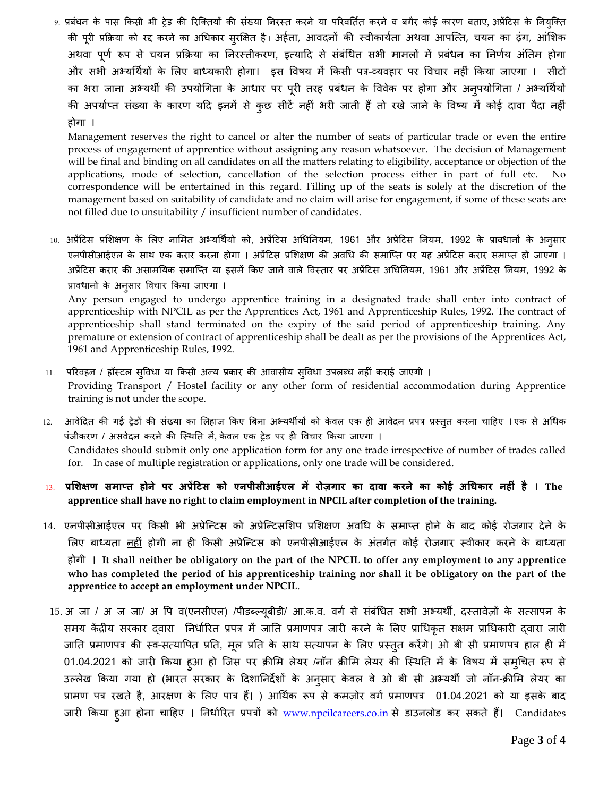9. प्रबंधन के पास किसी भी ट्रेड की रिक्तियों की संख्या निरस्त करने या परिवर्तित करने व बगैर कोई कारण बताए, अप्रेंटिस के नियुक्ति की पूरी प्रक्रिया को रद्द करने का अधिकार सुरक्षित है। अर्हता, आवदनों की स्वीकार्यता अथवा आपत्ति, चयन का ढ़ंग, आंशिक अथवा पूर्ण रूप से चयन प्रक्रिया का निरस्तीकरण, इत्यादि से संबंधित सभी मामलों में प्रबंधन का निर्णय अंतिम होगा और सभी अभ्यर्थियों के लिए बाध्यकारी होगा। इस विषय में किसी पत्र-व्यवहार पर विचार नहीं किया जाएगा । सीटों का भरा जाना अभ्यर्थी की उपयोगिता के आधार पर पूरी तरह प्रबंधन के विवेक पर होगा और अनुपयोगिता / अभ्यर्थियों की अपर्याप्त संख्या के कारण यदि इनमें से कुछ सीटें नहीं भरी जाती हैं तो रखे जाने के विष्य में कोई दावा पैदा नहीं होगा ।

Management reserves the right to cancel or alter the number of seats of particular trade or even the entire process of engagement of apprentice without assigning any reason whatsoever. The decision of Management will be final and binding on all candidates on all the matters relating to eligibility, acceptance or objection of the applications, mode of selection, cancellation of the selection process either in part of full etc. No correspondence will be entertained in this regard. Filling up of the seats is solely at the discretion of the management based on suitability of candidate and no claim will arise for engagement, if some of these seats are not filled due to unsuitability / insufficient number of candidates.

10. अप्रेंटिस प्रशिक्षण के लिए नामित अभ्यर्थियों को, अप्रेंटिस अधिनियम, 1961 और अप्रेंटिस नियम, 1992 के प्रावधानों के अनुसार एनपीसीआईएल के साथ एक करार करना होगा । अप्रेंटिस प्रशिक्षण की अवधि की समाप्ति पर यह अप्रेंटिस करार समाप्त हो जाएगा । अप्रेंटिस करार की असामयिक समाप्ति या इसमें किए जाने वाले विस्तार पर अप्रेंटिस अधिनियम, 1961 और अप्रेंटिस नियम, 1992 के प्रावधानों के अनुसार विचार किया जाएगा ।

Any person engaged to undergo apprentice training in a designated trade shall enter into contract of apprenticeship with NPCIL as per the Apprentices Act, 1961 and Apprenticeship Rules, 1992. The contract of apprenticeship shall stand terminated on the expiry of the said period of apprenticeship training. Any premature or extension of contract of apprenticeship shall be dealt as per the provisions of the Apprentices Act, 1961 and Apprenticeship Rules, 1992.

- 11. परिवहन / हॉस्टल सुविधा या किसी अन्य प्रकार की आवासीय सुविधा उपलब्ध नहीं कराई जाएगी । Providing Transport / Hostel facility or any other form of residential accommodation during Apprentice training is not under the scope.
- 12. आवेदित की गई ट्रेडों की संख्या का लिहाज किए बिना अभ्यर्थीयों को केवल एक ही आवेदन प्रपत्र प्रस्तूत करना चाहिए । एक से अधिक पंजीकरण / असवेदन करने की स्थिति में, केवल एक ट्रेड पर ही विचार किया जाएगा । Candidates should submit only one application form for any one trade irrespective of number of trades called for. In case of multiple registration or applications, only one trade will be considered.
- 13. **-**शिक्षण समाप्त होने पर अप्रेटिस को एनपीसीआईएल में रोज़गार का दावा करने का कोई अधिकार नहीं है । The **apprentice shall have no right to claim employment in NPCIL after completion of the training.**
- 14. एनपीसीआईएल पर किसी भी अप्रेन्टिस को अप्रेन्टिसशिप प्रशिक्षण अवधि के समाप्त होने के बाद कोई रोजगार देने के लिए बाध्यता <u>नहीं</u> होगी ना ही किसी अप्रेन्टिस को एनपीसीआईएल के अंतर्गत कोई रोजगार स्वीकार करने के बाध्यता होगी । **It shall neither be obligatory on the part of the NPCIL to offer any employment to any apprentice**  who has completed the period of his apprenticeship training nor shall it be obligatory on the part of the **apprentice to accept an employment under NPCIL**.
- 15. अ जा / अ ज जा/ अ पि व(एनसीएल) /पीडब्ल्यूबीडी/ आ.क.व. वर्ग से संबंधित सभी अभ्यर्थी, दस्तावेज़ों के सत्सापन के समय केंद्रीय सरकार दवारा निर्धारित प्रपत्र में जाति प्रमाणपत्र जारी करने के लिए प्राधिकृत सक्षम प्राधिकारी दवारा जारी जाति प्रमाणपत्र की स्व-सत्यापित प्रति, मूल प्रति के साथ सत्यापन के लिए प्रस्तुत करेंगे। ओ बी सी प्रमाणपत्र हाल ही में 01.04.2021 को जारी किया हुआ हो जिस पर क्रीमि लेयर /नॉन क्रीमि लेयर की स्थिति में के विषय में समुचित रूप से उल्लेख किया गया हो (भारत सरकार के दिशानिर्देशों के अनुसार केवल वे ओ बी सी अभ्यर्थी जो नॉन-क्रीमि लेयर का प्रामण पत्र रखते है, आरक्षण के लिए पात्र हैं। ) आर्थिक रूप से कमज़ोर वर्ग प्रमाणपत्र 01.04.2021 को या इसके बाद जारी किया हुआ होना चाहिए । निर्धारित प्रपत्रों को www.npcilcareers.co.in से डाउनलोड कर सकते हैं। Candidates